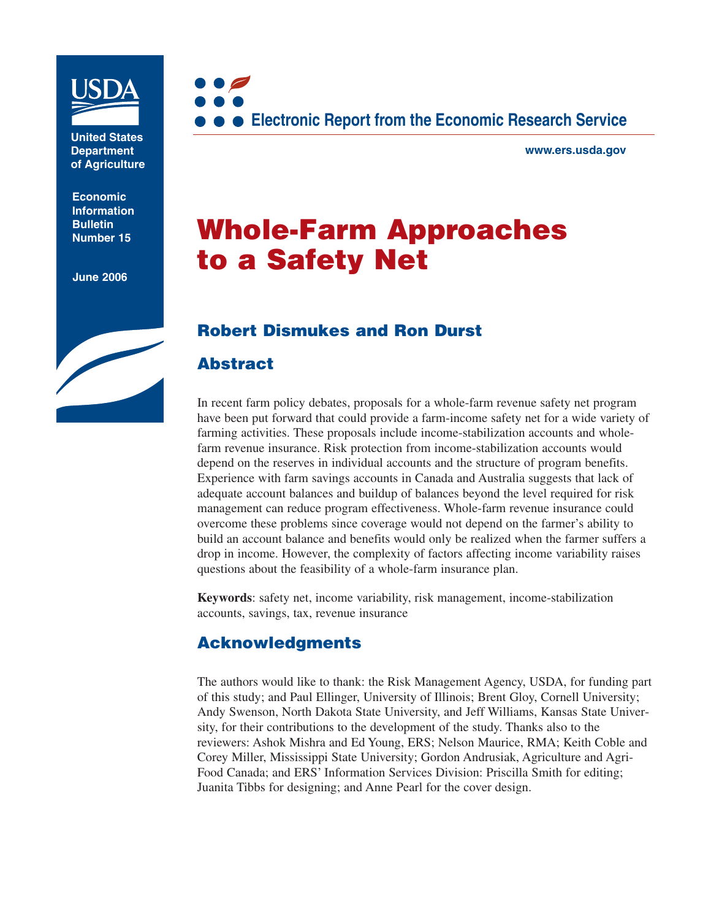

**United States Department of Agriculture**

**Economic Information Bulletin** 

**June 2006**



**www.ers.usda.gov**

# **Bulletin Rumber 15 <b>Whole-Farm Approaches to a Safety Net**

### **Robert Dismukes and Ron Durst**

### **Abstract**

In recent farm policy debates, proposals for a whole-farm revenue safety net program have been put forward that could provide a farm-income safety net for a wide variety of farming activities. These proposals include income-stabilization accounts and wholefarm revenue insurance. Risk protection from income-stabilization accounts would depend on the reserves in individual accounts and the structure of program benefits. Experience with farm savings accounts in Canada and Australia suggests that lack of adequate account balances and buildup of balances beyond the level required for risk management can reduce program effectiveness. Whole-farm revenue insurance could overcome these problems since coverage would not depend on the farmer's ability to build an account balance and benefits would only be realized when the farmer suffers a drop in income. However, the complexity of factors affecting income variability raises questions about the feasibility of a whole-farm insurance plan.

**Keywords**: safety net, income variability, risk management, income-stabilization accounts, savings, tax, revenue insurance

### **Acknowledgments**

The authors would like to thank: the Risk Management Agency, USDA, for funding part of this study; and Paul Ellinger, University of Illinois; Brent Gloy, Cornell University; Andy Swenson, North Dakota State University, and Jeff Williams, Kansas State University, for their contributions to the development of the study. Thanks also to the reviewers: Ashok Mishra and Ed Young, ERS; Nelson Maurice, RMA; Keith Coble and Corey Miller, Mississippi State University; Gordon Andrusiak, Agriculture and Agri-Food Canada; and ERS' Information Services Division: Priscilla Smith for editing; Juanita Tibbs for designing; and Anne Pearl for the cover design.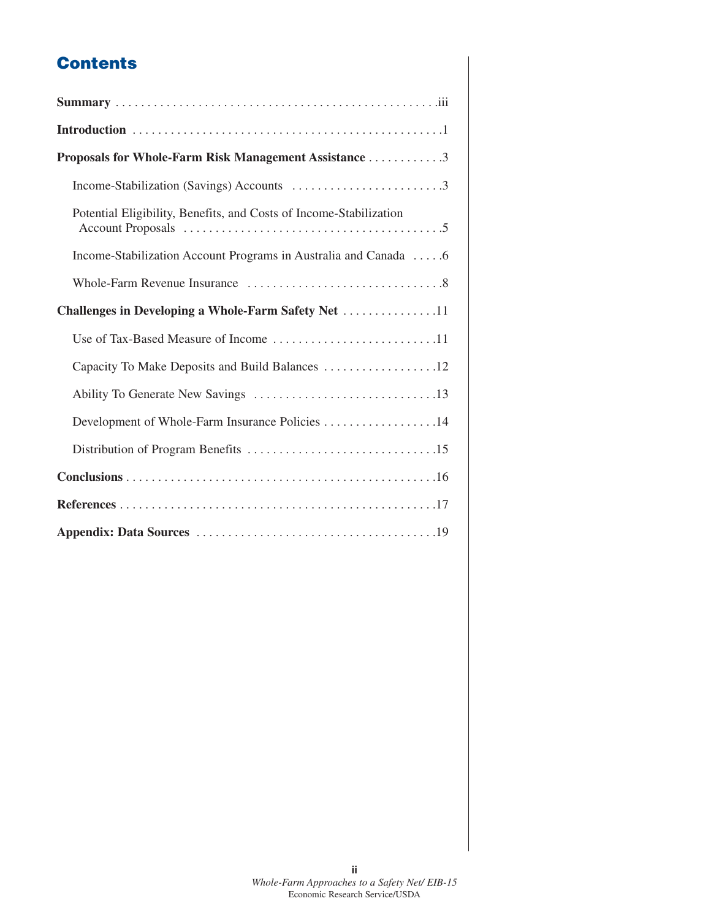# **Contents**

| Proposals for Whole-Farm Risk Management Assistance 3              |
|--------------------------------------------------------------------|
|                                                                    |
| Potential Eligibility, Benefits, and Costs of Income-Stabilization |
| Income-Stabilization Account Programs in Australia and Canada 6    |
|                                                                    |
| Challenges in Developing a Whole-Farm Safety Net 11                |
| Use of Tax-Based Measure of Income 11                              |
| Capacity To Make Deposits and Build Balances 12                    |
|                                                                    |
| Development of Whole-Farm Insurance Policies 14                    |
|                                                                    |
|                                                                    |
|                                                                    |
|                                                                    |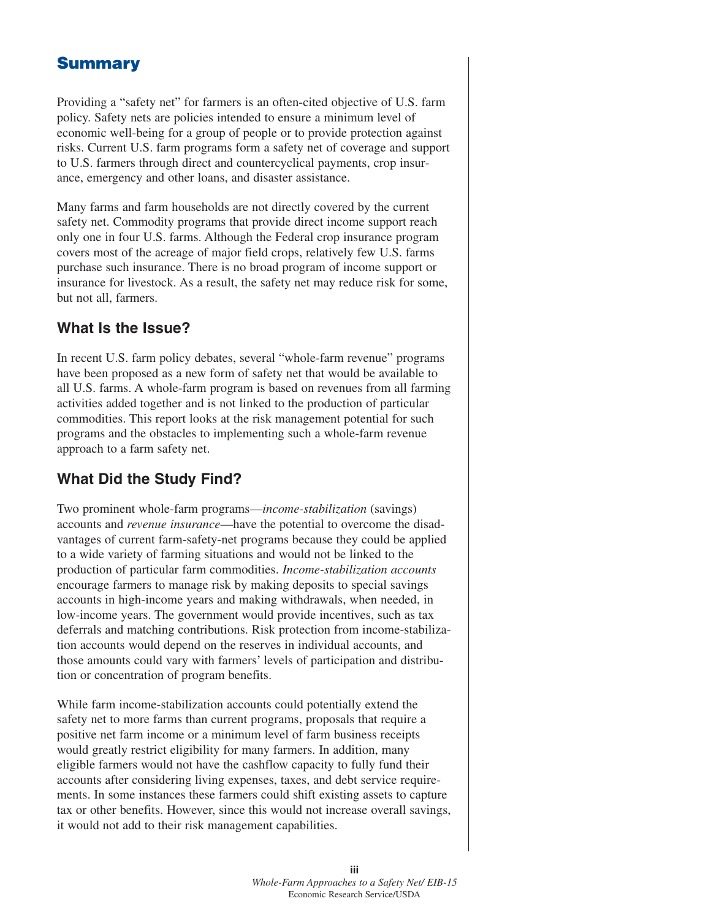## **Summary**

Providing a "safety net" for farmers is an often-cited objective of U.S. farm policy. Safety nets are policies intended to ensure a minimum level of economic well-being for a group of people or to provide protection against risks. Current U.S. farm programs form a safety net of coverage and support to U.S. farmers through direct and countercyclical payments, crop insurance, emergency and other loans, and disaster assistance.

Many farms and farm households are not directly covered by the current safety net. Commodity programs that provide direct income support reach only one in four U.S. farms. Although the Federal crop insurance program covers most of the acreage of major field crops, relatively few U.S. farms purchase such insurance. There is no broad program of income support or insurance for livestock. As a result, the safety net may reduce risk for some, but not all, farmers.

#### **What Is the Issue?**

In recent U.S. farm policy debates, several "whole-farm revenue" programs have been proposed as a new form of safety net that would be available to all U.S. farms. A whole-farm program is based on revenues from all farming activities added together and is not linked to the production of particular commodities. This report looks at the risk management potential for such programs and the obstacles to implementing such a whole-farm revenue approach to a farm safety net.

### **What Did the Study Find?**

Two prominent whole-farm programs—*income-stabilization* (savings) accounts and *revenue insurance*—have the potential to overcome the disadvantages of current farm-safety-net programs because they could be applied to a wide variety of farming situations and would not be linked to the production of particular farm commodities. *Income-stabilization accounts* encourage farmers to manage risk by making deposits to special savings accounts in high-income years and making withdrawals, when needed, in low-income years. The government would provide incentives, such as tax deferrals and matching contributions. Risk protection from income-stabilization accounts would depend on the reserves in individual accounts, and those amounts could vary with farmers' levels of participation and distribution or concentration of program benefits.

While farm income-stabilization accounts could potentially extend the safety net to more farms than current programs, proposals that require a positive net farm income or a minimum level of farm business receipts would greatly restrict eligibility for many farmers. In addition, many eligible farmers would not have the cashflow capacity to fully fund their accounts after considering living expenses, taxes, and debt service requirements. In some instances these farmers could shift existing assets to capture tax or other benefits. However, since this would not increase overall savings, it would not add to their risk management capabilities.